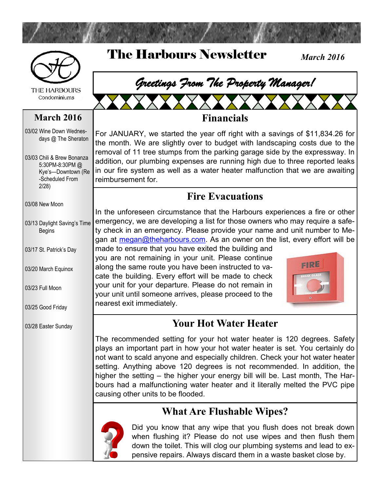

The Harbours Newsletter



**THE HARBOURS** Condominiums

#### **March 2016**

03/02 Wine Down Wednesdays @ The Sheraton

03/03 Chili & Brew Bonanza 5:30PM-8:30PM @ Kye's—Downtown (Re -Scheduled From 2/28)

03/08 New Moon

03/13 Daylight Saving's Time Begins

03/17 St. Patrick's Day

03/20 March Equinox

03/23 Full Moon

03/25 Good Friday

03/28 Easter Sunday

# *Greetings From The Property Manager!*

#### **Financials**

For JANUARY, we started the year off right with a savings of \$11,834.26 for the month. We are slightly over to budget with landscaping costs due to the removal of 11 tree stumps from the parking garage side by the expressway. In addition, our plumbing expenses are running high due to three reported leaks in our fire system as well as a water heater malfunction that we are awaiting reimbursement for.

#### **Fire Evacuations**

In the unforeseen circumstance that the Harbours experiences a fire or other emergency, we are developing a list for those owners who may require a safety check in an emergency. Please provide your name and unit number to Megan at [megan@theharbours.com.](mailto:megan@theharbours.com) As an owner on the list, every effort will be

made to ensure that you have exited the building and you are not remaining in your unit. Please continue along the same route you have been instructed to vacate the building. Every effort will be made to check your unit for your departure. Please do not remain in your unit until someone arrives, please proceed to the nearest exit immediately.



*March 2016*

### **Your Hot Water Heater**

The recommended setting for your hot water heater is 120 degrees. Safety plays an important part in how your hot water heater is set. You certainly do not want to scald anyone and especially children. Check your hot water heater setting. Anything above 120 degrees is not recommended. In addition, the higher the setting – the higher your energy bill will be. Last month, The Harbours had a malfunctioning water heater and it literally melted the PVC pipe causing other units to be flooded.

### **What Are Flushable Wipes?**



Did you know that any wipe that you flush does not break down when flushing it? Please do not use wipes and then flush them down the toilet. This will clog our plumbing systems and lead to expensive repairs. Always discard them in a waste basket close by.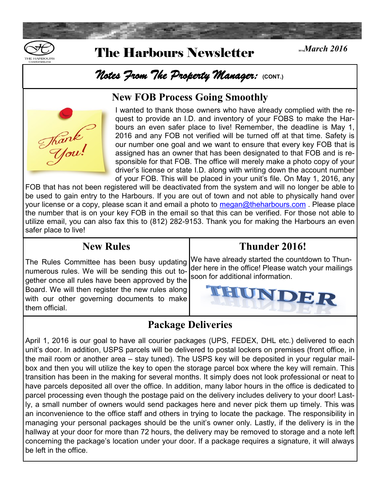

# **<sup>2016</sup>***March 2016* The Harbours Newsletter

# *Notes From The Property Manager:* **(CONT.)**

#### **New FOB Process Going Smoothly**



I wanted to thank those owners who have already complied with the request to provide an I.D. and inventory of your FOBS to make the Harbours an even safer place to live! Remember, the deadline is May 1, 2016 and any FOB not verified will be turned off at that time. Safety is our number one goal and we want to ensure that every key FOB that is assigned has an owner that has been designated to that FOB and is responsible for that FOB. The office will merely make a photo copy of your driver's license or state I.D. along with writing down the account number of your FOB. This will be placed in your unit's file. On May 1, 2016, any

FOB that has not been registered will be deactivated from the system and will no longer be able to be used to gain entry to the Harbours. If you are out of town and not able to physically hand over your license or a copy, please scan it and email a photo to [megan@theharbours.com](mailto:megan@theharbours.com). Please place the number that is on your key FOB in the email so that this can be verified. For those not able to utilize email, you can also fax this to (812) 282-9153. Thank you for making the Harbours an even safer place to live!

#### **New Rules**

The Rules Committee has been busy updating numerous rules. We will be sending this out together once all rules have been approved by the Board. We will then register the new rules along with our other governing documents to make them official.

#### **Thunder 2016!**

We have already started the countdown to Thunder here in the office! Please watch your mailings soon for additional information.



#### **Package Deliveries**

April 1, 2016 is our goal to have all courier packages (UPS, FEDEX, DHL etc.) delivered to each unit's door. In addition, USPS parcels will be delivered to postal lockers on premises (front office, in the mail room or another area – stay tuned). The USPS key will be deposited in your regular mailbox and then you will utilize the key to open the storage parcel box where the key will remain. This transition has been in the making for several months. It simply does not look professional or neat to have parcels deposited all over the office. In addition, many labor hours in the office is dedicated to parcel processing even though the postage paid on the delivery includes delivery to your door! Lastly, a small number of owners would send packages here and never pick them up timely. This was an inconvenience to the office staff and others in trying to locate the package. The responsibility in managing your personal packages should be the unit's owner only. Lastly, if the delivery is in the hallway at your door for more than 72 hours, the delivery may be removed to storage and a note left concerning the package's location under your door. If a package requires a signature, it will always be left in the office.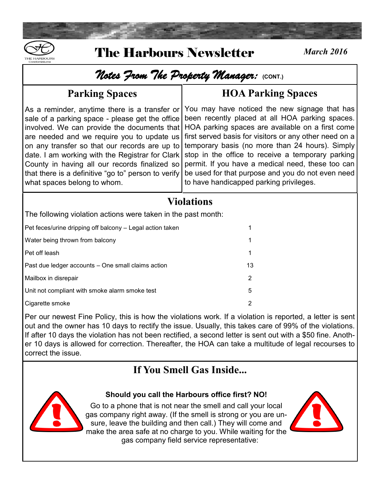

# *Notes From The Property Manager:* **(CONT.)**

#### **Parking Spaces**

As a reminder, anytime there is a transfer or sale of a parking space - please get the office involved. We can provide the documents that are needed and we require you to update us on any transfer so that our records are up to date. I am working with the Registrar for Clark County in having all our records finalized so that there is a definitive "go to" person to verify what spaces belong to whom.

## **HOA Parking Spaces**

You may have noticed the new signage that has been recently placed at all HOA parking spaces. HOA parking spaces are available on a first come first served basis for visitors or any other need on a temporary basis (no more than 24 hours). Simply stop in the office to receive a temporary parking permit. If you have a medical need, these too can be used for that purpose and you do not even need to have handicapped parking privileges.

#### **Violations**

The following violation actions were taken in the past month:

Pet feces/urine dripping off balcony – Legal action taken 1

Water being thrown from balcony 1 and 1 and 2 and 2 and 2 and 2 and 2 and 2 and 2 and 2 and 2 and 2 and 2 and 2  $\,$  1 Pet off leash 1 and 2008 the set of the set of the set of the set of the set of the set of the set of the set of the set of the set of the set of the set of the set of the set of the set of the set of the set of the set of Past due ledger accounts – One small claims action 13 Mailbox in disrepair 2

Unit not compliant with smoke alarm smoke test  $5$ 

Cigarette smoke 2

Per our newest Fine Policy, this is how the violations work. If a violation is reported, a letter is sent out and the owner has 10 days to rectify the issue. Usually, this takes care of 99% of the violations. If after 10 days the violation has not been rectified, a second letter is sent out with a \$50 fine. Another 10 days is allowed for correction. Thereafter, the HOA can take a multitude of legal recourses to correct the issue.

# **If You Smell Gas Inside...**



**Should you call the Harbours office first? NO!** Go to a phone that is not near the smell and call your local

gas company right away. (If the smell is strong or you are unsure, leave the building and then call.) They will come and make the area safe at no charge to you. While waiting for the gas company field service representative:

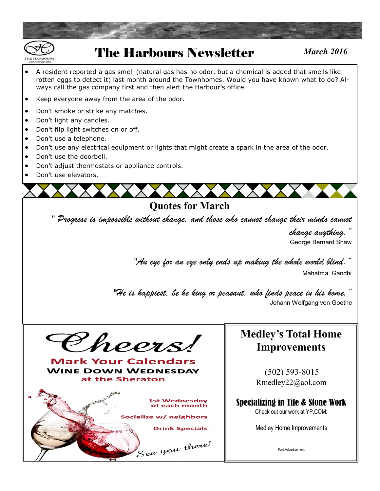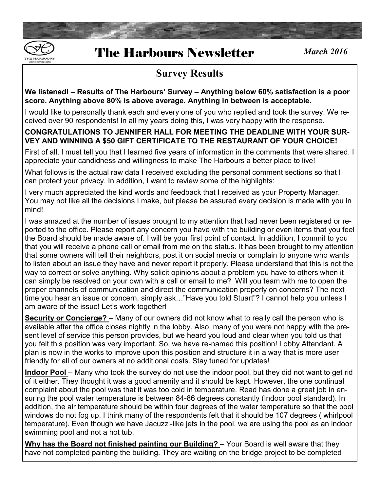

#### **Survey Results**

**We listened! – Results of The Harbours' Survey – Anything below 60% satisfaction is a poor score. Anything above 80% is above average. Anything in between is acceptable.** 

I would like to personally thank each and every one of you who replied and took the survey. We received over 90 respondents! In all my years doing this, I was very happy with the response.

#### **CONGRATULATIONS TO JENNIFER HALL FOR MEETING THE DEADLINE WITH YOUR SUR-VEY AND WINNING A \$50 GIFT CERTIFICATE TO THE RESTAURANT OF YOUR CHOICE!**

First of all, I must tell you that I learned five years of information in the comments that were shared. I appreciate your candidness and willingness to make The Harbours a better place to live!

What follows is the actual raw data I received excluding the personal comment sections so that I can protect your privacy. In addition, I want to review some of the highlights:

I very much appreciated the kind words and feedback that I received as your Property Manager. You may not like all the decisions I make, but please be assured every decision is made with you in mind!

I was amazed at the number of issues brought to my attention that had never been registered or reported to the office. Please report any concern you have with the building or even items that you feel the Board should be made aware of. I will be your first point of contact. In addition, I commit to you that you will receive a phone call or email from me on the status. It has been brought to my attention that some owners will tell their neighbors, post it on social media or complain to anyone who wants to listen about an issue they have and never report it properly. Please understand that this is not the way to correct or solve anything. Why solicit opinions about a problem you have to others when it can simply be resolved on your own with a call or email to me? Will you team with me to open the proper channels of communication and direct the communication properly on concerns? The next time you hear an issue or concern, simply ask…"Have you told Stuart"? I cannot help you unless I am aware of the issue! Let's work together!

**Security or Concierge?** – Many of our owners did not know what to really call the person who is available after the office closes nightly in the lobby. Also, many of you were not happy with the present level of service this person provides, but we heard you loud and clear when you told us that you felt this position was very important. So, we have re-named this position! Lobby Attendant. A plan is now in the works to improve upon this position and structure it in a way that is more user friendly for all of our owners at no additional costs. Stay tuned for updates!

**Indoor Pool** – Many who took the survey do not use the indoor pool, but they did not want to get rid of it either. They thought it was a good amenity and it should be kept. However, the one continual complaint about the pool was that it was too cold in temperature. Read has done a great job in ensuring the pool water temperature is between 84-86 degrees constantly (Indoor pool standard). In addition, the air temperature should be within four degrees of the water temperature so that the pool windows do not fog up. I think many of the respondents felt that it should be 107 degrees ( whirlpool temperature). Even though we have Jacuzzi-like jets in the pool, we are using the pool as an indoor swimming pool and not a hot tub.

**Why has the Board not finished painting our Building?** – Your Board is well aware that they have not completed painting the building. They are waiting on the bridge project to be completed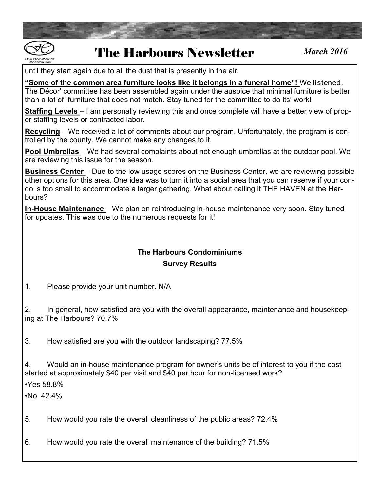

until they start again due to all the dust that is presently in the air.

**"Some of the common area furniture looks like it belongs in a funeral home"!** We listened. The Décor' committee has been assembled again under the auspice that minimal furniture is better than a lot of furniture that does not match. Stay tuned for the committee to do its' work!

**Staffing Levels** – I am personally reviewing this and once complete will have a better view of proper staffing levels or contracted labor.

**Recycling** – We received a lot of comments about our program. Unfortunately, the program is controlled by the county. We cannot make any changes to it.

**Pool Umbrellas** – We had several complaints about not enough umbrellas at the outdoor pool. We are reviewing this issue for the season.

**Business Center** – Due to the low usage scores on the Business Center, we are reviewing possible other options for this area. One idea was to turn it into a social area that you can reserve if your condo is too small to accommodate a larger gathering. What about calling it THE HAVEN at the Harbours?

**In-House Maintenance** – We plan on reintroducing in-house maintenance very soon. Stay tuned for updates. This was due to the numerous requests for it!

#### **The Harbours Condominiums Survey Results**

1. Please provide your unit number. N/A

2. In general, how satisfied are you with the overall appearance, maintenance and housekeeping at The Harbours? 70.7%

3. How satisfied are you with the outdoor landscaping? 77.5%

4. Would an in-house maintenance program for owner's units be of interest to you if the cost started at approximately \$40 per visit and \$40 per hour for non-licensed work?

•Yes 58.8%

 $•No$  42.4%

5. How would you rate the overall cleanliness of the public areas? 72.4%

6. How would you rate the overall maintenance of the building? 71.5%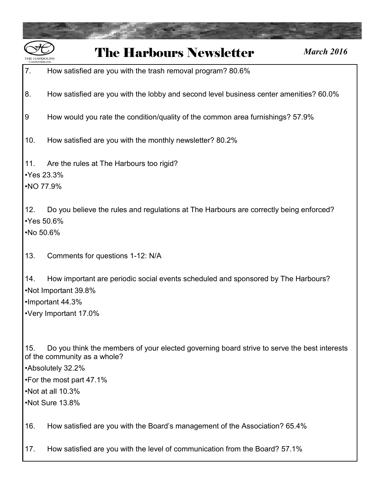

#### 7. How satisfied are you with the trash removal program? 80.6%

- 8. How satisfied are you with the lobby and second level business center amenities? 60.0%
- 9 How would you rate the condition/quality of the common area furnishings? 57.9%
- 10. How satisfied are you with the monthly newsletter? 80.2%
- 11. Are the rules at The Harbours too rigid?
- •Yes 23.3%
- •NO 77.9%

12. Do you believe the rules and regulations at The Harbours are correctly being enforced? •Yes 50.6%

- •No 50.6%
- 13. Comments for questions 1-12: N/A
- 14. How important are periodic social events scheduled and sponsored by The Harbours? •Not Important 39.8% •Important 44.3%
- •Very Important 17.0%
- 15. Do you think the members of your elected governing board strive to serve the best interests of the community as a whole?
- •Absolutely 32.2%
- •For the most part 47.1%
- •Not at all 10.3%
- •Not Sure 13.8%
- 16. How satisfied are you with the Board's management of the Association? 65.4%
- 17. How satisfied are you with the level of communication from the Board? 57.1%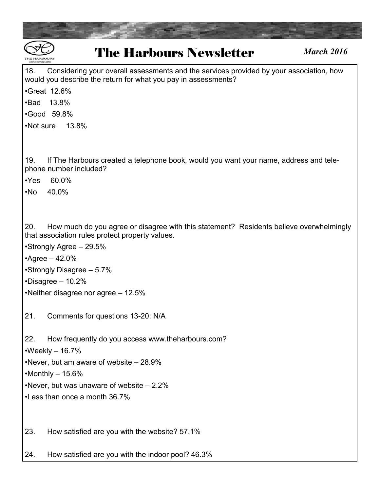| <b>The Harbours Newsletter</b><br><b>March 2016</b><br><b>THE HARROLIRS</b><br>Condominiums                                                                                                     |  |  |
|-------------------------------------------------------------------------------------------------------------------------------------------------------------------------------------------------|--|--|
| 18.<br>Considering your overall assessments and the services provided by your association, how<br>would you describe the return for what you pay in assessments?                                |  |  |
| <b>•Great 12.6%</b>                                                                                                                                                                             |  |  |
| 13.8%<br>$\cdot$ Bad<br>•Good 59.8%                                                                                                                                                             |  |  |
| •Not sure<br>13.8%                                                                                                                                                                              |  |  |
|                                                                                                                                                                                                 |  |  |
| 19.<br>If The Harbours created a telephone book, would you want your name, address and tele-<br>phone number included?<br>60.0%<br>$\cdot$ Yes                                                  |  |  |
| 40.0%<br>$\cdot$ No                                                                                                                                                                             |  |  |
| 20.<br>How much do you agree or disagree with this statement? Residents believe overwhelmingly<br>that association rules protect property values.<br>•Strongly Agree - 29.5%<br>•Agree $-42.0%$ |  |  |
| •Strongly Disagree - 5.7%                                                                                                                                                                       |  |  |
| $\cdot$ Disagree - 10.2%                                                                                                                                                                        |  |  |
| •Neither disagree nor agree $-12.5\%$                                                                                                                                                           |  |  |
| Comments for questions 13-20: N/A<br>21.                                                                                                                                                        |  |  |
| 22.<br>How frequently do you access www.theharbours.com?<br>$\cdot$ Weekly – 16.7%                                                                                                              |  |  |
| . Never, but am aware of website $-28.9\%$                                                                                                                                                      |  |  |
| $-Monthly - 15.6%$<br>. Never, but was unaware of website $-2.2\%$                                                                                                                              |  |  |
| •Less than once a month 36.7%                                                                                                                                                                   |  |  |
| 23.<br>How satisfied are you with the website? 57.1%                                                                                                                                            |  |  |
| How satisfied are you with the indoor pool? 46.3%<br>24.                                                                                                                                        |  |  |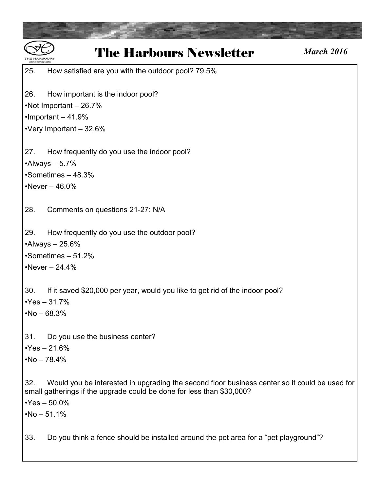| <b>The Harbours Newsletter</b>                                                                                                                                                                 | <b>March 2016</b> |
|------------------------------------------------------------------------------------------------------------------------------------------------------------------------------------------------|-------------------|
| 25.<br>How satisfied are you with the outdoor pool? 79.5%                                                                                                                                      |                   |
| 26.<br>How important is the indoor pool?                                                                                                                                                       |                   |
| •Not Important - 26.7%                                                                                                                                                                         |                   |
| $\cdot$ Important - 41.9%                                                                                                                                                                      |                   |
| •Very Important - 32.6%                                                                                                                                                                        |                   |
| How frequently do you use the indoor pool?<br>27.                                                                                                                                              |                   |
| $\cdot$ Always - 5.7%                                                                                                                                                                          |                   |
| Sometimes - 48.3%                                                                                                                                                                              |                   |
| •Never $-46.0%$                                                                                                                                                                                |                   |
| 28.<br>Comments on questions 21-27: N/A                                                                                                                                                        |                   |
| 29.<br>How frequently do you use the outdoor pool?                                                                                                                                             |                   |
| $\cdot$ Always - 25.6%                                                                                                                                                                         |                   |
| •Sometimes - 51.2%                                                                                                                                                                             |                   |
| •Never $- 24.4%$                                                                                                                                                                               |                   |
| 30.<br>If it saved \$20,000 per year, would you like to get rid of the indoor pool?                                                                                                            |                   |
| - 31.7%<br>•Yes -                                                                                                                                                                              |                   |
| $No - 68.3%$                                                                                                                                                                                   |                   |
| 31.<br>Do you use the business center?                                                                                                                                                         |                   |
| $Yes - 21.6%$                                                                                                                                                                                  |                   |
| $•No - 78.4%$                                                                                                                                                                                  |                   |
| 32.<br>Would you be interested in upgrading the second floor business center so it could be used for<br>small gatherings if the upgrade could be done for less than \$30,000?<br>$Yes - 50.0%$ |                   |
| $No - 51.1%$                                                                                                                                                                                   |                   |
| Do you think a fence should be installed around the pet area for a "pet playground"?<br>33.                                                                                                    |                   |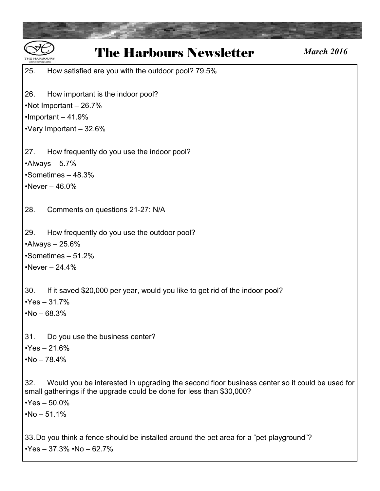| <b>The Harbours Newsletter</b><br><b>March 2016</b>                                                                                                                           |
|-------------------------------------------------------------------------------------------------------------------------------------------------------------------------------|
| 25.<br>How satisfied are you with the outdoor pool? 79.5%                                                                                                                     |
| 26.<br>How important is the indoor pool?                                                                                                                                      |
| •Not Important - 26.7%                                                                                                                                                        |
| $\cdot$ Important - 41.9%                                                                                                                                                     |
| •Very Important $-32.6%$                                                                                                                                                      |
| How frequently do you use the indoor pool?<br>27.                                                                                                                             |
| $\cdot$ Always - 5.7%                                                                                                                                                         |
| Sometimes - 48.3%                                                                                                                                                             |
| •Never $-46.0%$                                                                                                                                                               |
| 28.<br>Comments on questions 21-27: N/A                                                                                                                                       |
| 29.<br>How frequently do you use the outdoor pool?                                                                                                                            |
| $\cdot$ Always - 25.6%                                                                                                                                                        |
| Sometimes - 51.2%                                                                                                                                                             |
| •Never $-24.4%$                                                                                                                                                               |
| 30.<br>If it saved \$20,000 per year, would you like to get rid of the indoor pool?                                                                                           |
| $Yes - 31.7%$                                                                                                                                                                 |
| $No - 68.3%$                                                                                                                                                                  |
| 31.<br>Do you use the business center?                                                                                                                                        |
| $Yes - 21.6%$                                                                                                                                                                 |
| $No - 78.4%$                                                                                                                                                                  |
| 32.<br>Would you be interested in upgrading the second floor business center so it could be used for<br>small gatherings if the upgrade could be done for less than \$30,000? |
| $Yes - 50.0%$                                                                                                                                                                 |
| $•No - 51.1%$                                                                                                                                                                 |
| 33. Do you think a fence should be installed around the pet area for a "pet playground"?<br>$\cdot$ Yes - 37.3% $\cdot$ No - 62.7%                                            |
|                                                                                                                                                                               |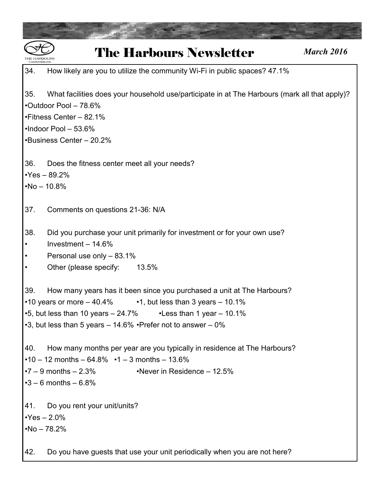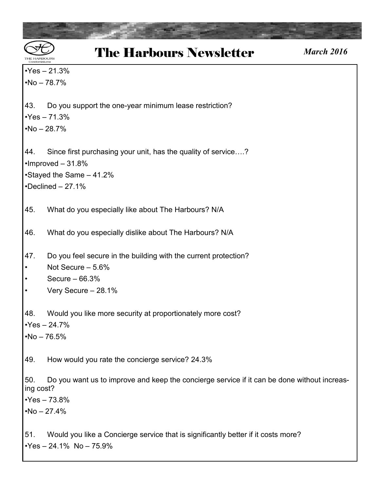$\cdot$ Yes – 21.3%  $•No - 78.7%$ 

43. Do you support the one-year minimum lease restriction?

 $\cdot$ Yes – 71.3%

 $•No - 28.7%$ 

44. Since first purchasing your unit, has the quality of service….? •Improved – 31.8% •Stayed the Same – 41.2%

 $\cdot$ Declined – 27.1%

45. What do you especially like about The Harbours? N/A

46. What do you especially dislike about The Harbours? N/A

- 47. Do you feel secure in the building with the current protection?
- Not Secure 5.6%
- Secure 66.3%
- Very Secure 28.1%

48. Would you like more security at proportionately more cost?

 $\cdot$ Yes – 24.7%

 $•No - 76.5%$ 

49. How would you rate the concierge service? 24.3%

50. Do you want us to improve and keep the concierge service if it can be done without increasing cost?

 $•Yes - 73.8%$ 

 $•No - 27.4%$ 

51. Would you like a Concierge service that is significantly better if it costs more?  $\text{Yes} - 24.1\% \text{ No} - 75.9\%$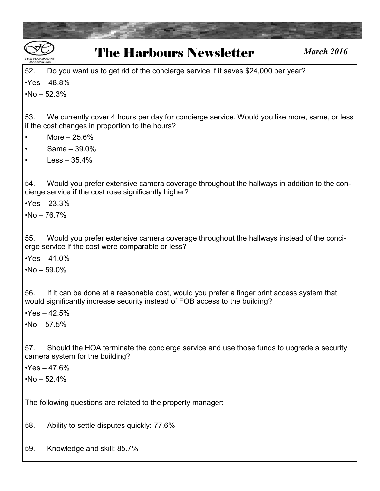| <b>The Harbours Newsletter</b><br><b>March 2016</b><br>Condominiums                                                                                                                                                |
|--------------------------------------------------------------------------------------------------------------------------------------------------------------------------------------------------------------------|
| 52.<br>Do you want us to get rid of the concierge service if it saves \$24,000 per year?                                                                                                                           |
| $Yes - 48.8%$                                                                                                                                                                                                      |
| $No - 52.3%$                                                                                                                                                                                                       |
| 53.<br>We currently cover 4 hours per day for concierge service. Would you like more, same, or less<br>if the cost changes in proportion to the hours?                                                             |
| More $-25.6%$                                                                                                                                                                                                      |
| Same $-39.0%$                                                                                                                                                                                                      |
| $Less - 35.4%$                                                                                                                                                                                                     |
| 54.<br>Would you prefer extensive camera coverage throughout the hallways in addition to the con-<br>cierge service if the cost rose significantly higher?<br>$Yes - 23.3%$<br>$No - 76.7%$                        |
| 55.<br>Would you prefer extensive camera coverage throughout the hallways instead of the conci-<br>erge service if the cost were comparable or less?<br>$Yes - 41.0%$<br>$No - 59.0\%$                             |
| 56.<br>If it can be done at a reasonable cost, would you prefer a finger print access system that<br>would significantly increase security instead of FOB access to the building?<br>$Yes - 42.5%$<br>$No - 57.5%$ |
| 57.<br>Should the HOA terminate the concierge service and use those funds to upgrade a security<br>camera system for the building?<br>$Yes - 47.6%$<br>$No - 52.4%$                                                |
| The following questions are related to the property manager:                                                                                                                                                       |
| 58.<br>Ability to settle disputes quickly: 77.6%                                                                                                                                                                   |
| 59.<br>Knowledge and skill: 85.7%                                                                                                                                                                                  |